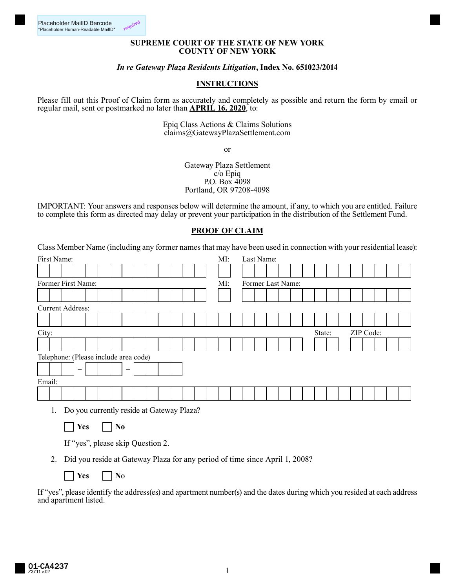## **SUPREME COURT OF THE STATE OF NEW YORK COUNTY OF NEW YORK**

## *In re Gateway Plaza Residents Litigation***, Index No. 651023/2014**

## **INSTRUCTIONS**

Please fill out this Proof of Claim form as accurately and completely as possible and return the form by email or regular mail, sent or postmarked no later than **APRIL 16, 2020**, to:

> Epiq Class Actions & Claims Solutions claims@GatewayPlazaSettlement.com

> > or

Gateway Plaza Settlement c/o Epiq P.O. Box 4098 Portland, OR 97208-4098

IMPORTANT: Your answers and responses below will determine the amount, if any, to which you are entitled. Failure to complete this form as directed may delay or prevent your participation in the distribution of the Settlement Fund.

## **PROOF OF CLAIM**

Class Member Name (including any former names that may have been used in connection with your residential lease):

|                                       | First Name:             |  |                                 |  |  |  |                          |  |  |  |  |  |  |  | MI: |                   |  | Last Name: |  |  |  |  |        |  |  |           |  |  |  |  |
|---------------------------------------|-------------------------|--|---------------------------------|--|--|--|--------------------------|--|--|--|--|--|--|--|-----|-------------------|--|------------|--|--|--|--|--------|--|--|-----------|--|--|--|--|
|                                       |                         |  |                                 |  |  |  |                          |  |  |  |  |  |  |  |     |                   |  |            |  |  |  |  |        |  |  |           |  |  |  |  |
|                                       | Former First Name:      |  |                                 |  |  |  |                          |  |  |  |  |  |  |  | MI: | Former Last Name: |  |            |  |  |  |  |        |  |  |           |  |  |  |  |
|                                       |                         |  |                                 |  |  |  |                          |  |  |  |  |  |  |  |     |                   |  |            |  |  |  |  |        |  |  |           |  |  |  |  |
|                                       | <b>Current Address:</b> |  |                                 |  |  |  |                          |  |  |  |  |  |  |  |     |                   |  |            |  |  |  |  |        |  |  |           |  |  |  |  |
|                                       |                         |  |                                 |  |  |  |                          |  |  |  |  |  |  |  |     |                   |  |            |  |  |  |  |        |  |  |           |  |  |  |  |
|                                       | City:                   |  |                                 |  |  |  |                          |  |  |  |  |  |  |  |     |                   |  |            |  |  |  |  | State: |  |  | ZIP Code: |  |  |  |  |
|                                       |                         |  |                                 |  |  |  |                          |  |  |  |  |  |  |  |     |                   |  |            |  |  |  |  |        |  |  |           |  |  |  |  |
| Telephone: (Please include area code) |                         |  |                                 |  |  |  |                          |  |  |  |  |  |  |  |     |                   |  |            |  |  |  |  |        |  |  |           |  |  |  |  |
|                                       |                         |  | $\hspace{0.1mm}-\hspace{0.1mm}$ |  |  |  | $\overline{\phantom{m}}$ |  |  |  |  |  |  |  |     |                   |  |            |  |  |  |  |        |  |  |           |  |  |  |  |
| Email:                                |                         |  |                                 |  |  |  |                          |  |  |  |  |  |  |  |     |                   |  |            |  |  |  |  |        |  |  |           |  |  |  |  |
|                                       |                         |  |                                 |  |  |  |                          |  |  |  |  |  |  |  |     |                   |  |            |  |  |  |  |        |  |  |           |  |  |  |  |
|                                       |                         |  |                                 |  |  |  |                          |  |  |  |  |  |  |  |     |                   |  |            |  |  |  |  |        |  |  |           |  |  |  |  |

1. Do you currently reside at Gateway Plaza?

*Nes* | **No** 

If "yes", please skip Question 2.

2. Did you reside at Gateway Plaza for any period of time since April 1, 2008?

*Nes* | **No** 

If "yes", please identify the address(es) and apartment number(s) and the dates during which you resided at each address and apartment listed.